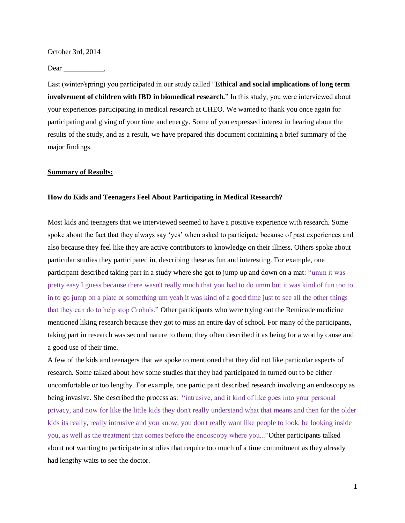October 3rd, 2014

Dear  $\frac{\ }{\ }$ 

Last (winter/spring) you participated in our study called "**Ethical and social implications of long term involvement of children with IBD in biomedical research.**" In this study, you were interviewed about your experiences participating in medical research at CHEO. We wanted to thank you once again for participating and giving of your time and energy. Some of you expressed interest in hearing about the results of the study, and as a result, we have prepared this document containing a brief summary of the major findings.

# **Summary of Results:**

### **How do Kids and Teenagers Feel About Participating in Medical Research?**

Most kids and teenagers that we interviewed seemed to have a positive experience with research. Some spoke about the fact that they always say 'yes' when asked to participate because of past experiences and also because they feel like they are active contributors to knowledge on their illness. Others spoke about particular studies they participated in, describing these as fun and interesting. For example, one participant described taking part in a study where she got to jump up and down on a mat: "umm it was pretty easy I guess because there wasn't really much that you had to do umm but it was kind of fun too to in to go jump on a plate or something um yeah it was kind of a good time just to see all the other things that they can do to help stop Crohn's." Other participants who were trying out the Remicade medicine mentioned liking research because they got to miss an entire day of school. For many of the participants, taking part in research was second nature to them; they often described it as being for a worthy cause and a good use of their time.

A few of the kids and teenagers that we spoke to mentioned that they did not like particular aspects of research. Some talked about how some studies that they had participated in turned out to be either uncomfortable or too lengthy. For example, one participant described research involving an endoscopy as being invasive. She described the process as: "intrusive, and it kind of like goes into your personal privacy, and now for like the little kids they don't really understand what that means and then for the older kids its really, really intrusive and you know, you don't really want like people to look, be looking inside you, as well as the treatment that comes before the endoscopy where you..."Other participants talked about not wanting to participate in studies that require too much of a time commitment as they already had lengthy waits to see the doctor.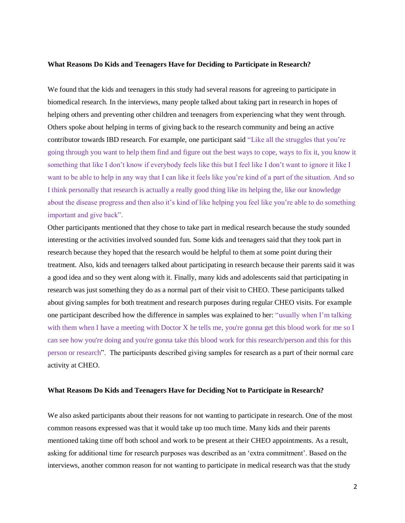#### **What Reasons Do Kids and Teenagers Have for Deciding to Participate in Research?**

We found that the kids and teenagers in this study had several reasons for agreeing to participate in biomedical research. In the interviews, many people talked about taking part in research in hopes of helping others and preventing other children and teenagers from experiencing what they went through. Others spoke about helping in terms of giving back to the research community and being an active contributor towards IBD research. For example, one participant said "Like all the struggles that you're going through you want to help them find and figure out the best ways to cope, ways to fix it, you know it something that like I don't know if everybody feels like this but I feel like I don't want to ignore it like I want to be able to help in any way that I can like it feels like you're kind of a part of the situation. And so I think personally that research is actually a really good thing like its helping the, like our knowledge about the disease progress and then also it's kind of like helping you feel like you're able to do something important and give back".

Other participants mentioned that they chose to take part in medical research because the study sounded interesting or the activities involved sounded fun. Some kids and teenagers said that they took part in research because they hoped that the research would be helpful to them at some point during their treatment. Also, kids and teenagers talked about participating in research because their parents said it was a good idea and so they went along with it. Finally, many kids and adolescents said that participating in research was just something they do as a normal part of their visit to CHEO. These participants talked about giving samples for both treatment and research purposes during regular CHEO visits. For example one participant described how the difference in samples was explained to her: "usually when I'm talking with them when I have a meeting with Doctor X he tells me, you're gonna get this blood work for me so I can see how you're doing and you're gonna take this blood work for this research/person and this for this person or research". The participants described giving samples for research as a part of their normal care activity at CHEO.

#### **What Reasons Do Kids and Teenagers Have for Deciding Not to Participate in Research?**

We also asked participants about their reasons for not wanting to participate in research. One of the most common reasons expressed was that it would take up too much time. Many kids and their parents mentioned taking time off both school and work to be present at their CHEO appointments. As a result, asking for additional time for research purposes was described as an 'extra commitment'. Based on the interviews, another common reason for not wanting to participate in medical research was that the study